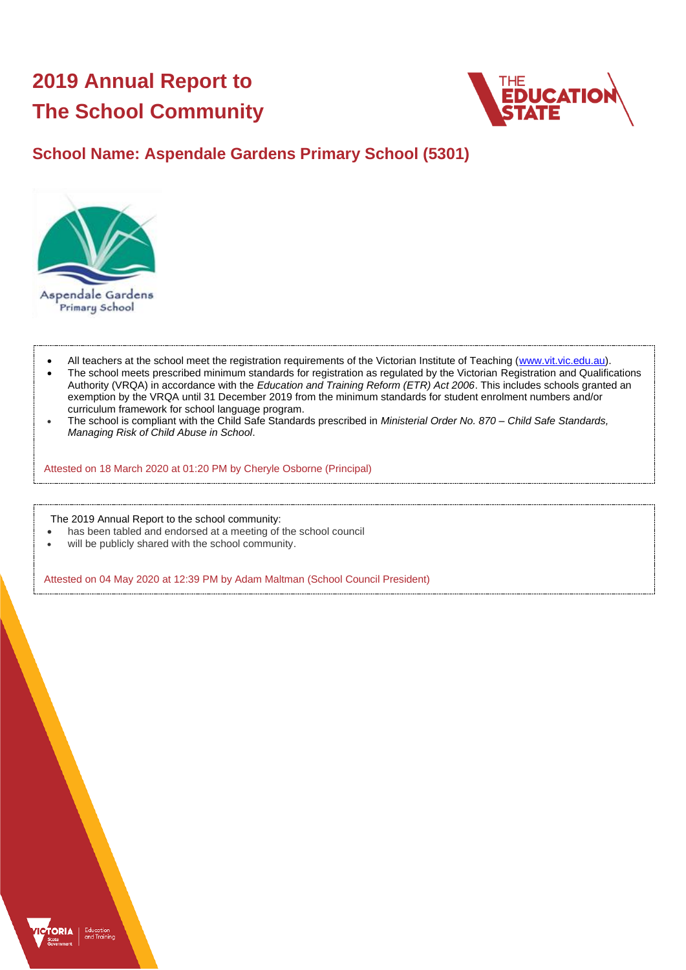# **2019 Annual Report to The School Community**



## **School Name: Aspendale Gardens Primary School (5301)**



- All teachers at the school meet the registration requirements of the Victorian Institute of Teaching [\(www.vit.vic.edu.au\)](https://www.vit.vic.edu.au/).
- The school meets prescribed minimum standards for registration as regulated by the Victorian Registration and Qualifications Authority (VRQA) in accordance with the *Education and Training Reform (ETR) Act 2006*. This includes schools granted an exemption by the VRQA until 31 December 2019 from the minimum standards for student enrolment numbers and/or curriculum framework for school language program.
- The school is compliant with the Child Safe Standards prescribed in *Ministerial Order No. 870 – Child Safe Standards, Managing Risk of Child Abuse in School*.

Attested on 18 March 2020 at 01:20 PM by Cheryle Osborne (Principal)

The 2019 Annual Report to the school community:

- has been tabled and endorsed at a meeting of the school council
- will be publicly shared with the school community.

Attested on 04 May 2020 at 12:39 PM by Adam Maltman (School Council President)

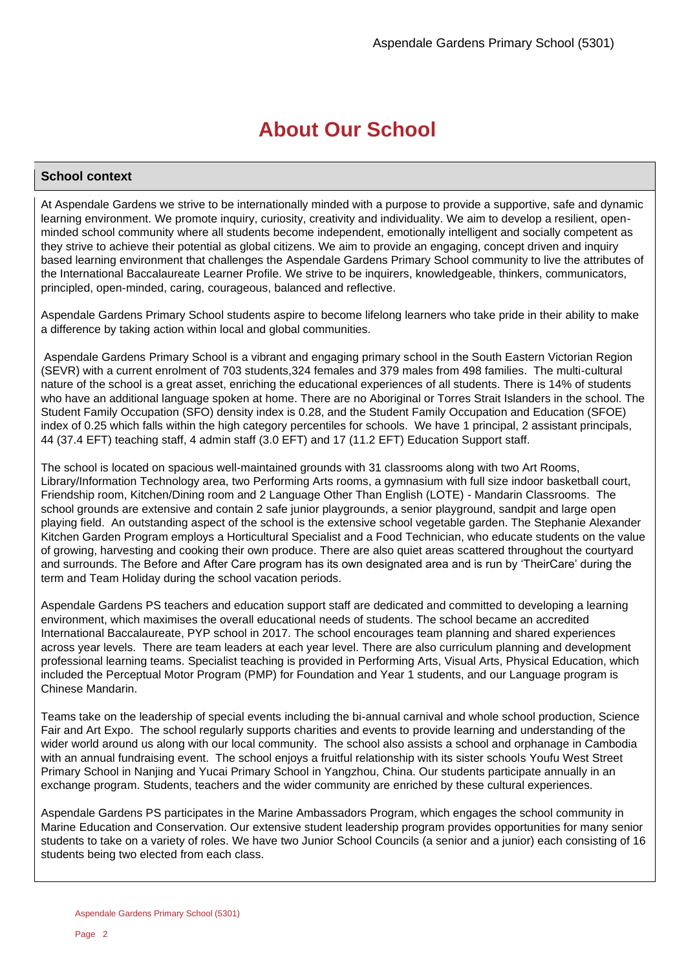## **About Our School**

### **School context**

At Aspendale Gardens we strive to be internationally minded with a purpose to provide a supportive, safe and dynamic learning environment. We promote inquiry, curiosity, creativity and individuality. We aim to develop a resilient, openminded school community where all students become independent, emotionally intelligent and socially competent as they strive to achieve their potential as global citizens. We aim to provide an engaging, concept driven and inquiry based learning environment that challenges the Aspendale Gardens Primary School community to live the attributes of the International Baccalaureate Learner Profile. We strive to be inquirers, knowledgeable, thinkers, communicators, principled, open-minded, caring, courageous, balanced and reflective.

Aspendale Gardens Primary School students aspire to become lifelong learners who take pride in their ability to make a difference by taking action within local and global communities.

Aspendale Gardens Primary School is a vibrant and engaging primary school in the South Eastern Victorian Region (SEVR) with a current enrolment of 703 students,324 females and 379 males from 498 families. The multi-cultural nature of the school is a great asset, enriching the educational experiences of all students. There is 14% of students who have an additional language spoken at home. There are no Aboriginal or Torres Strait Islanders in the school. The Student Family Occupation (SFO) density index is 0.28, and the Student Family Occupation and Education (SFOE) index of 0.25 which falls within the high category percentiles for schools. We have 1 principal, 2 assistant principals, 44 (37.4 EFT) teaching staff, 4 admin staff (3.0 EFT) and 17 (11.2 EFT) Education Support staff.

The school is located on spacious well-maintained grounds with 31 classrooms along with two Art Rooms, Library/Information Technology area, two Performing Arts rooms, a gymnasium with full size indoor basketball court, Friendship room, Kitchen/Dining room and 2 Language Other Than English (LOTE) - Mandarin Classrooms. The school grounds are extensive and contain 2 safe junior playgrounds, a senior playground, sandpit and large open playing field. An outstanding aspect of the school is the extensive school vegetable garden. The Stephanie Alexander Kitchen Garden Program employs a Horticultural Specialist and a Food Technician, who educate students on the value of growing, harvesting and cooking their own produce. There are also quiet areas scattered throughout the courtyard and surrounds. The Before and After Care program has its own designated area and is run by 'TheirCare' during the term and Team Holiday during the school vacation periods.

Aspendale Gardens PS teachers and education support staff are dedicated and committed to developing a learning environment, which maximises the overall educational needs of students. The school became an accredited International Baccalaureate, PYP school in 2017. The school encourages team planning and shared experiences across year levels. There are team leaders at each year level. There are also curriculum planning and development professional learning teams. Specialist teaching is provided in Performing Arts, Visual Arts, Physical Education, which included the Perceptual Motor Program (PMP) for Foundation and Year 1 students, and our Language program is Chinese Mandarin.

Teams take on the leadership of special events including the bi-annual carnival and whole school production, Science Fair and Art Expo. The school regularly supports charities and events to provide learning and understanding of the wider world around us along with our local community. The school also assists a school and orphanage in Cambodia with an annual fundraising event. The school enjoys a fruitful relationship with its sister schools Youfu West Street Primary School in Nanjing and Yucai Primary School in Yangzhou, China. Our students participate annually in an exchange program. Students, teachers and the wider community are enriched by these cultural experiences.

Aspendale Gardens PS participates in the Marine Ambassadors Program, which engages the school community in Marine Education and Conservation. Our extensive student leadership program provides opportunities for many senior students to take on a variety of roles. We have two Junior School Councils (a senior and a junior) each consisting of 16 students being two elected from each class.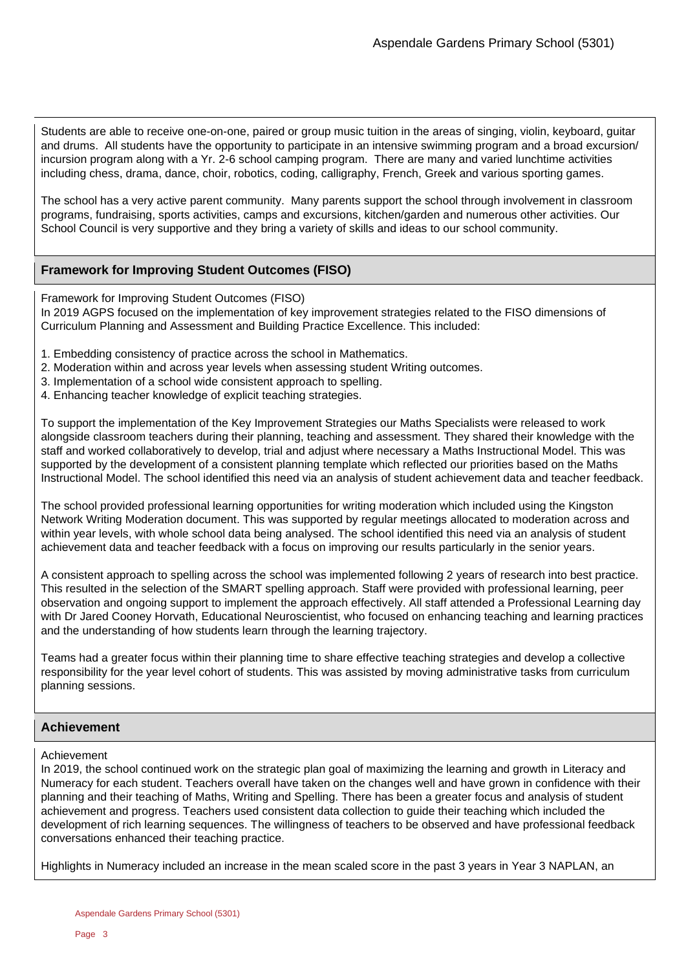Students are able to receive one-on-one, paired or group music tuition in the areas of singing, violin, keyboard, guitar and drums. All students have the opportunity to participate in an intensive swimming program and a broad excursion/ incursion program along with a Yr. 2-6 school camping program. There are many and varied lunchtime activities including chess, drama, dance, choir, robotics, coding, calligraphy, French, Greek and various sporting games.

The school has a very active parent community. Many parents support the school through involvement in classroom programs, fundraising, sports activities, camps and excursions, kitchen/garden and numerous other activities. Our School Council is very supportive and they bring a variety of skills and ideas to our school community.

### **Framework for Improving Student Outcomes (FISO)**

Framework for Improving Student Outcomes (FISO)

In 2019 AGPS focused on the implementation of key improvement strategies related to the FISO dimensions of Curriculum Planning and Assessment and Building Practice Excellence. This included:

- 1. Embedding consistency of practice across the school in Mathematics.
- 2. Moderation within and across year levels when assessing student Writing outcomes.
- 3. Implementation of a school wide consistent approach to spelling.
- 4. Enhancing teacher knowledge of explicit teaching strategies.

To support the implementation of the Key Improvement Strategies our Maths Specialists were released to work alongside classroom teachers during their planning, teaching and assessment. They shared their knowledge with the staff and worked collaboratively to develop, trial and adjust where necessary a Maths Instructional Model. This was supported by the development of a consistent planning template which reflected our priorities based on the Maths Instructional Model. The school identified this need via an analysis of student achievement data and teacher feedback.

The school provided professional learning opportunities for writing moderation which included using the Kingston Network Writing Moderation document. This was supported by regular meetings allocated to moderation across and within year levels, with whole school data being analysed. The school identified this need via an analysis of student achievement data and teacher feedback with a focus on improving our results particularly in the senior years.

A consistent approach to spelling across the school was implemented following 2 years of research into best practice. This resulted in the selection of the SMART spelling approach. Staff were provided with professional learning, peer observation and ongoing support to implement the approach effectively. All staff attended a Professional Learning day with Dr Jared Cooney Horvath, Educational Neuroscientist, who focused on enhancing teaching and learning practices and the understanding of how students learn through the learning trajectory.

Teams had a greater focus within their planning time to share effective teaching strategies and develop a collective responsibility for the year level cohort of students. This was assisted by moving administrative tasks from curriculum planning sessions.

### **Achievement**

### Achievement

In 2019, the school continued work on the strategic plan goal of maximizing the learning and growth in Literacy and Numeracy for each student. Teachers overall have taken on the changes well and have grown in confidence with their planning and their teaching of Maths, Writing and Spelling. There has been a greater focus and analysis of student achievement and progress. Teachers used consistent data collection to guide their teaching which included the development of rich learning sequences. The willingness of teachers to be observed and have professional feedback conversations enhanced their teaching practice.

Highlights in Numeracy included an increase in the mean scaled score in the past 3 years in Year 3 NAPLAN, an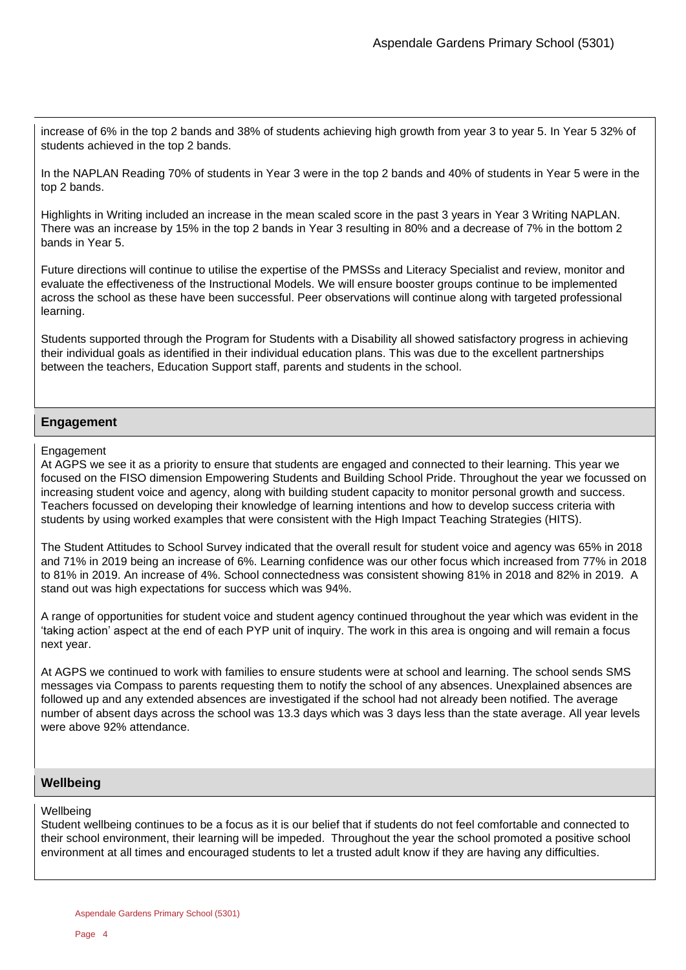increase of 6% in the top 2 bands and 38% of students achieving high growth from year 3 to year 5. In Year 5 32% of students achieved in the top 2 bands.

In the NAPLAN Reading 70% of students in Year 3 were in the top 2 bands and 40% of students in Year 5 were in the top 2 bands.

Highlights in Writing included an increase in the mean scaled score in the past 3 years in Year 3 Writing NAPLAN. There was an increase by 15% in the top 2 bands in Year 3 resulting in 80% and a decrease of 7% in the bottom 2 bands in Year 5.

Future directions will continue to utilise the expertise of the PMSSs and Literacy Specialist and review, monitor and evaluate the effectiveness of the Instructional Models. We will ensure booster groups continue to be implemented across the school as these have been successful. Peer observations will continue along with targeted professional learning.

Students supported through the Program for Students with a Disability all showed satisfactory progress in achieving their individual goals as identified in their individual education plans. This was due to the excellent partnerships between the teachers, Education Support staff, parents and students in the school.

### **Engagement**

### **Engagement**

At AGPS we see it as a priority to ensure that students are engaged and connected to their learning. This year we focused on the FISO dimension Empowering Students and Building School Pride. Throughout the year we focussed on increasing student voice and agency, along with building student capacity to monitor personal growth and success. Teachers focussed on developing their knowledge of learning intentions and how to develop success criteria with students by using worked examples that were consistent with the High Impact Teaching Strategies (HITS).

The Student Attitudes to School Survey indicated that the overall result for student voice and agency was 65% in 2018 and 71% in 2019 being an increase of 6%. Learning confidence was our other focus which increased from 77% in 2018 to 81% in 2019. An increase of 4%. School connectedness was consistent showing 81% in 2018 and 82% in 2019. A stand out was high expectations for success which was 94%.

A range of opportunities for student voice and student agency continued throughout the year which was evident in the 'taking action' aspect at the end of each PYP unit of inquiry. The work in this area is ongoing and will remain a focus next year.

At AGPS we continued to work with families to ensure students were at school and learning. The school sends SMS messages via Compass to parents requesting them to notify the school of any absences. Unexplained absences are followed up and any extended absences are investigated if the school had not already been notified. The average number of absent days across the school was 13.3 days which was 3 days less than the state average. All year levels were above 92% attendance.

### **Wellbeing**

### **Wellbeing**

Student wellbeing continues to be a focus as it is our belief that if students do not feel comfortable and connected to their school environment, their learning will be impeded. Throughout the year the school promoted a positive school environment at all times and encouraged students to let a trusted adult know if they are having any difficulties.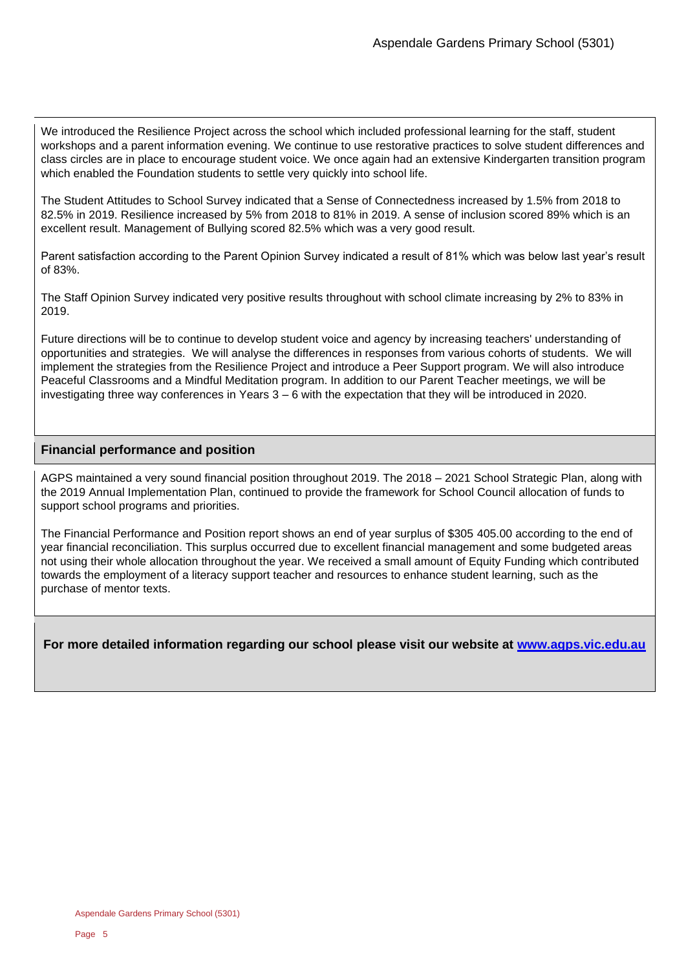We introduced the Resilience Project across the school which included professional learning for the staff, student workshops and a parent information evening. We continue to use restorative practices to solve student differences and class circles are in place to encourage student voice. We once again had an extensive Kindergarten transition program which enabled the Foundation students to settle very quickly into school life.

The Student Attitudes to School Survey indicated that a Sense of Connectedness increased by 1.5% from 2018 to 82.5% in 2019. Resilience increased by 5% from 2018 to 81% in 2019. A sense of inclusion scored 89% which is an excellent result. Management of Bullying scored 82.5% which was a very good result.

Parent satisfaction according to the Parent Opinion Survey indicated a result of 81% which was below last year's result of 83%.

The Staff Opinion Survey indicated very positive results throughout with school climate increasing by 2% to 83% in 2019.

Future directions will be to continue to develop student voice and agency by increasing teachers' understanding of opportunities and strategies. We will analyse the differences in responses from various cohorts of students. We will implement the strategies from the Resilience Project and introduce a Peer Support program. We will also introduce Peaceful Classrooms and a Mindful Meditation program. In addition to our Parent Teacher meetings, we will be investigating three way conferences in Years 3 – 6 with the expectation that they will be introduced in 2020.

### **Financial performance and position**

AGPS maintained a very sound financial position throughout 2019. The 2018 – 2021 School Strategic Plan, along with the 2019 Annual Implementation Plan, continued to provide the framework for School Council allocation of funds to support school programs and priorities.

The Financial Performance and Position report shows an end of year surplus of \$305 405.00 according to the end of year financial reconciliation. This surplus occurred due to excellent financial management and some budgeted areas not using their whole allocation throughout the year. We received a small amount of Equity Funding which contributed towards the employment of a literacy support teacher and resources to enhance student learning, such as the purchase of mentor texts.

**For more detailed information regarding our school please visit our website at [www.agps.vic.edu.au](file:///C:/Users/01913417/Downloads/www.agps.vic.edu.au)**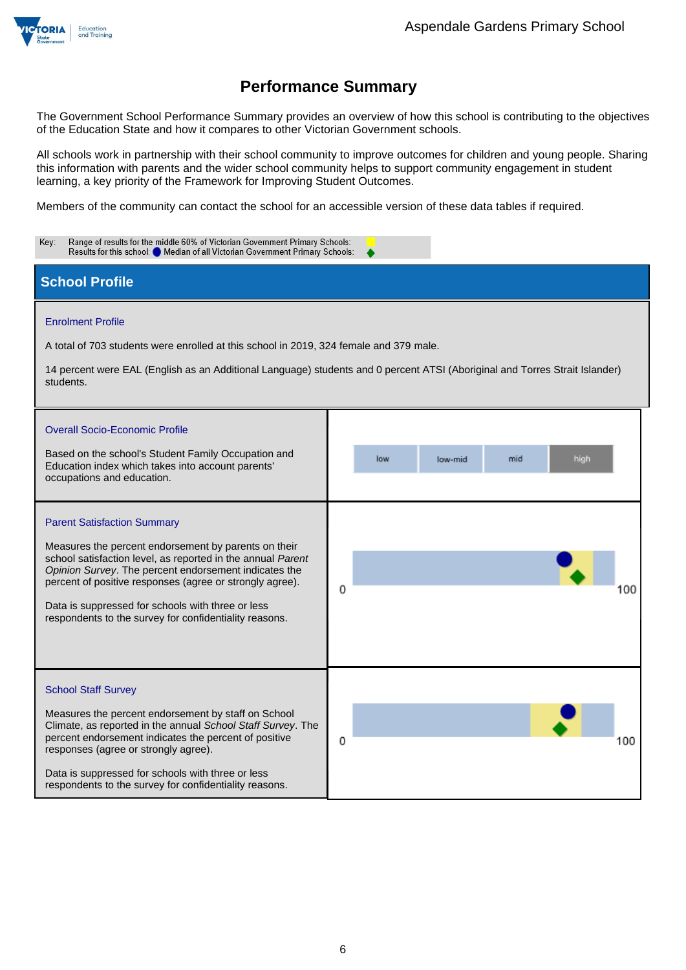

The Government School Performance Summary provides an overview of how this school is contributing to the objectives of the Education State and how it compares to other Victorian Government schools.

All schools work in partnership with their school community to improve outcomes for children and young people. Sharing this information with parents and the wider school community helps to support community engagement in student learning, a key priority of the Framework for Improving Student Outcomes.

Members of the community can contact the school for an accessible version of these data tables if required.

| Range of results for the middle 60% of Victorian Government Primary Schools:<br>Key:<br>Results for this school: Median of all Victorian Government Primary Schools:                                                                                                                                                                                                                          |                                                                                                                                                              |  |  |  |
|-----------------------------------------------------------------------------------------------------------------------------------------------------------------------------------------------------------------------------------------------------------------------------------------------------------------------------------------------------------------------------------------------|--------------------------------------------------------------------------------------------------------------------------------------------------------------|--|--|--|
| <b>School Profile</b>                                                                                                                                                                                                                                                                                                                                                                         |                                                                                                                                                              |  |  |  |
| <b>Enrolment Profile</b><br>A total of 703 students were enrolled at this school in 2019, 324 female and 379 male.<br>students.<br><b>Overall Socio-Economic Profile</b><br>Based on the school's Student Family Occupation and<br>Education index which takes into account parents'<br>occupations and education.                                                                            | 14 percent were EAL (English as an Additional Language) students and 0 percent ATSI (Aboriginal and Torres Strait Islander)<br>high<br>low<br>mid<br>low-mid |  |  |  |
| <b>Parent Satisfaction Summary</b><br>Measures the percent endorsement by parents on their<br>school satisfaction level, as reported in the annual Parent<br>Opinion Survey. The percent endorsement indicates the<br>percent of positive responses (agree or strongly agree).<br>Data is suppressed for schools with three or less<br>respondents to the survey for confidentiality reasons. | 0<br>100                                                                                                                                                     |  |  |  |
| <b>School Staff Survey</b><br>Measures the percent endorsement by staff on School<br>Climate, as reported in the annual School Staff Survey. The<br>percent endorsement indicates the percent of positive<br>responses (agree or strongly agree).<br>Data is suppressed for schools with three or less<br>respondents to the survey for confidentiality reasons.                              | 0<br>100                                                                                                                                                     |  |  |  |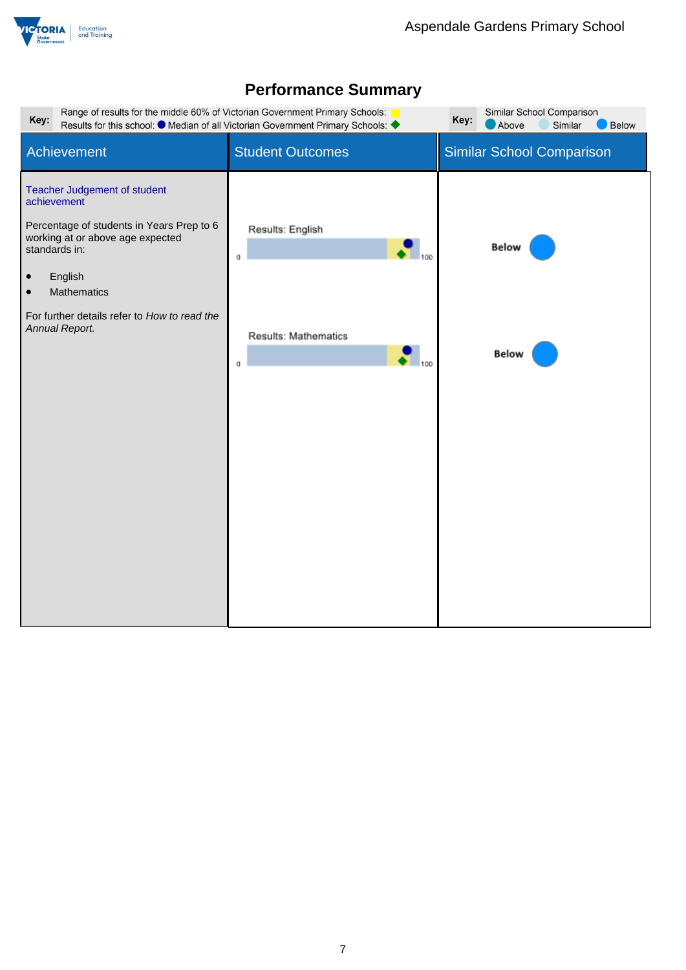

| Range of results for the middle 60% of Victorian Government Primary Schools:<br>Similar School Comparison<br>Key:<br>Key:<br>Results for this school: ● Median of all Victorian Government Primary Schools: ◆<br>Above<br>Similar<br><b>Below</b>                          |                                                                          |                                  |  |  |
|----------------------------------------------------------------------------------------------------------------------------------------------------------------------------------------------------------------------------------------------------------------------------|--------------------------------------------------------------------------|----------------------------------|--|--|
| Achievement                                                                                                                                                                                                                                                                | <b>Student Outcomes</b>                                                  | <b>Similar School Comparison</b> |  |  |
| Teacher Judgement of student<br>achievement<br>Percentage of students in Years Prep to 6<br>working at or above age expected<br>standards in:<br>English<br>$\bullet$<br><b>Mathematics</b><br>$\bullet$<br>For further details refer to How to read the<br>Annual Report. | Results: English<br>0<br>Results: Mathematics<br>$\mathbf{I}_{100}$<br>o | <b>Below</b><br><b>Below</b>     |  |  |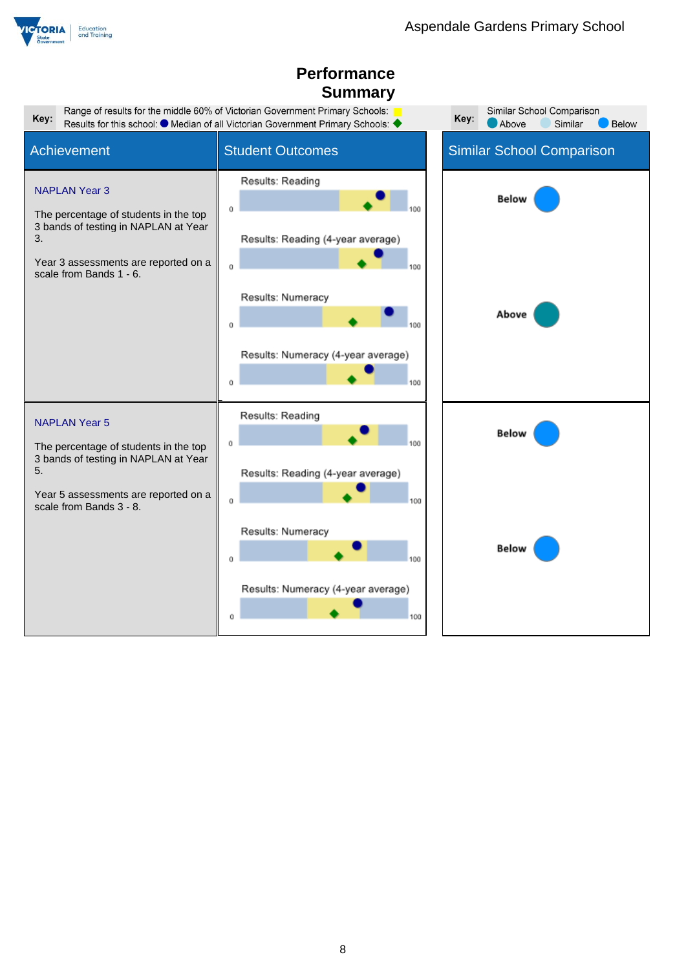

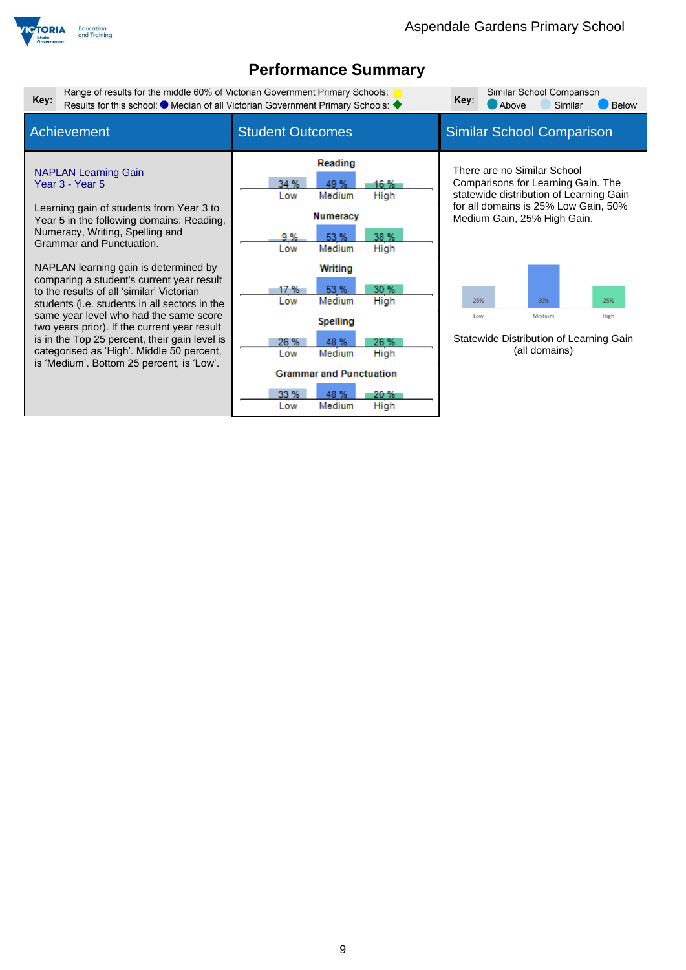

| Key:                                                                                   | Range of results for the middle 60% of Victorian Government Primary Schools:<br>Results for this school: ● Median of all Victorian Government Primary Schools: ◆                                                                                                                                                            |                           | Key:                                                          | Above                        | Similar School Comparison<br>Similar                                                                                                                                                |  | <b>Below</b>                                             |             |  |
|----------------------------------------------------------------------------------------|-----------------------------------------------------------------------------------------------------------------------------------------------------------------------------------------------------------------------------------------------------------------------------------------------------------------------------|---------------------------|---------------------------------------------------------------|------------------------------|-------------------------------------------------------------------------------------------------------------------------------------------------------------------------------------|--|----------------------------------------------------------|-------------|--|
| <b>Achievement</b>                                                                     |                                                                                                                                                                                                                                                                                                                             | <b>Student Outcomes</b>   |                                                               |                              |                                                                                                                                                                                     |  | <b>Similar School Comparison</b>                         |             |  |
| Year 3 - Year 5                                                                        | <b>NAPLAN Learning Gain</b><br>Learning gain of students from Year 3 to<br>Year 5 in the following domains: Reading,<br>Numeracy, Writing, Spelling and<br>Grammar and Punctuation.                                                                                                                                         | 34 %<br>Low<br>9 %<br>Low | Reading<br>49 %<br>Medium<br><b>Numeracy</b><br>53%<br>Medium | 16 %<br>High<br>38 %<br>High | There are no Similar School<br>Comparisons for Learning Gain. The<br>statewide distribution of Learning Gain<br>for all domains is 25% Low Gain, 50%<br>Medium Gain, 25% High Gain. |  |                                                          |             |  |
|                                                                                        | NAPLAN learning gain is determined by<br>comparing a student's current year result<br>to the results of all 'similar' Victorian<br>students (i.e. students in all sectors in the<br>same year level who had the same score<br>two years prior). If the current year result<br>is in the Top 25 percent, their gain level is | 17 %<br>Low<br>26 %       | Writing<br>53 %<br>Medium<br><b>Spelling</b><br>48 %          | 30 %<br>High<br>26 %         | 25%<br>Low                                                                                                                                                                          |  | 50%<br>Medium<br>Statewide Distribution of Learning Gain | 25%<br>High |  |
| categorised as 'High'. Middle 50 percent,<br>is 'Medium'. Bottom 25 percent, is 'Low'. |                                                                                                                                                                                                                                                                                                                             | Low<br>33 %<br>Low        | Medium<br><b>Grammar and Punctuation</b><br>48 %<br>Medium    | High<br>20 %<br>High         | (all domains)                                                                                                                                                                       |  |                                                          |             |  |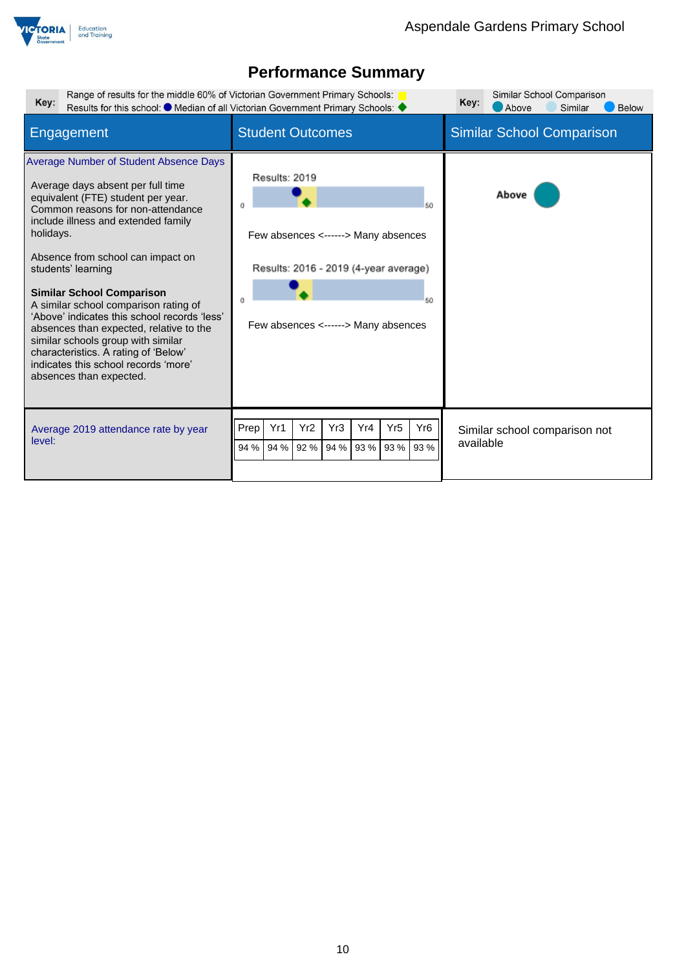

| Range of results for the middle 60% of Victorian Government Primary Schools:<br>Key:                                                                                                                                                                                                                                                                                                                                                                                                                                                                                                           | Results for this school: $\bullet$ Median of all Victorian Government Primary Schools:                                                           | Similar School Comparison<br>Key:<br>Above<br>Below<br>Similar |
|------------------------------------------------------------------------------------------------------------------------------------------------------------------------------------------------------------------------------------------------------------------------------------------------------------------------------------------------------------------------------------------------------------------------------------------------------------------------------------------------------------------------------------------------------------------------------------------------|--------------------------------------------------------------------------------------------------------------------------------------------------|----------------------------------------------------------------|
| Engagement                                                                                                                                                                                                                                                                                                                                                                                                                                                                                                                                                                                     | <b>Student Outcomes</b>                                                                                                                          | <b>Similar School Comparison</b>                               |
| Average Number of Student Absence Days<br>Average days absent per full time<br>equivalent (FTE) student per year.<br>Common reasons for non-attendance<br>include illness and extended family<br>holidays.<br>Absence from school can impact on<br>students' learning<br><b>Similar School Comparison</b><br>A similar school comparison rating of<br>'Above' indicates this school records 'less'<br>absences than expected, relative to the<br>similar schools group with similar<br>characteristics. A rating of 'Below'<br>indicates this school records 'more'<br>absences than expected. | Results: 2019<br>50<br>Few absences <------> Many absences<br>Results: 2016 - 2019 (4-year average)<br>50<br>Few absences <------> Many absences | Above                                                          |
| Average 2019 attendance rate by year<br>level:                                                                                                                                                                                                                                                                                                                                                                                                                                                                                                                                                 | Yr1<br>Yr2<br>Yr3<br>Yr4<br>Yr <sub>5</sub><br>Yr <sub>6</sub><br>Prep<br>92 %<br>93 %<br>93 %<br>94 %<br>94 %<br>94 %<br>93 %                   | Similar school comparison not<br>available                     |
|                                                                                                                                                                                                                                                                                                                                                                                                                                                                                                                                                                                                |                                                                                                                                                  |                                                                |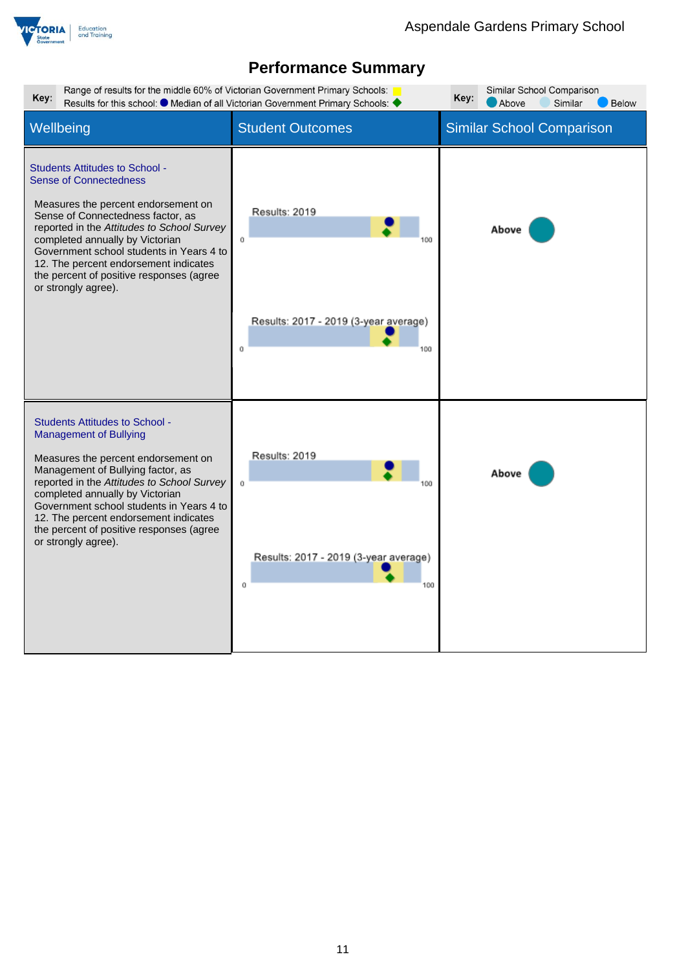

| Range of results for the middle 60% of Victorian Government Primary Schools:<br>Key:<br>Results for this school: $\bullet$ Median of all Victorian Government Primary Schools:                                                                                                                                                                                                              | Similar School Comparison<br>Key:<br>Above<br>Similar<br><b>Below</b>    |                                  |
|---------------------------------------------------------------------------------------------------------------------------------------------------------------------------------------------------------------------------------------------------------------------------------------------------------------------------------------------------------------------------------------------|--------------------------------------------------------------------------|----------------------------------|
| Wellbeing                                                                                                                                                                                                                                                                                                                                                                                   | <b>Student Outcomes</b>                                                  | <b>Similar School Comparison</b> |
| <b>Students Attitudes to School -</b><br><b>Sense of Connectedness</b><br>Measures the percent endorsement on<br>Sense of Connectedness factor, as<br>reported in the Attitudes to School Survey<br>completed annually by Victorian<br>Government school students in Years 4 to<br>12. The percent endorsement indicates<br>the percent of positive responses (agree<br>or strongly agree). | Results: 2019<br>Ü<br>Results: 2017 - 2019 (3-year average)<br>ū<br>100  | Above                            |
| <b>Students Attitudes to School -</b><br><b>Management of Bullying</b><br>Measures the percent endorsement on<br>Management of Bullying factor, as<br>reported in the Attitudes to School Survey<br>completed annually by Victorian<br>Government school students in Years 4 to<br>12. The percent endorsement indicates<br>the percent of positive responses (agree<br>or strongly agree). | Results: 2019<br>û<br>Results: 2017 - 2019 (3-year average)<br>Ū.<br>100 | Above                            |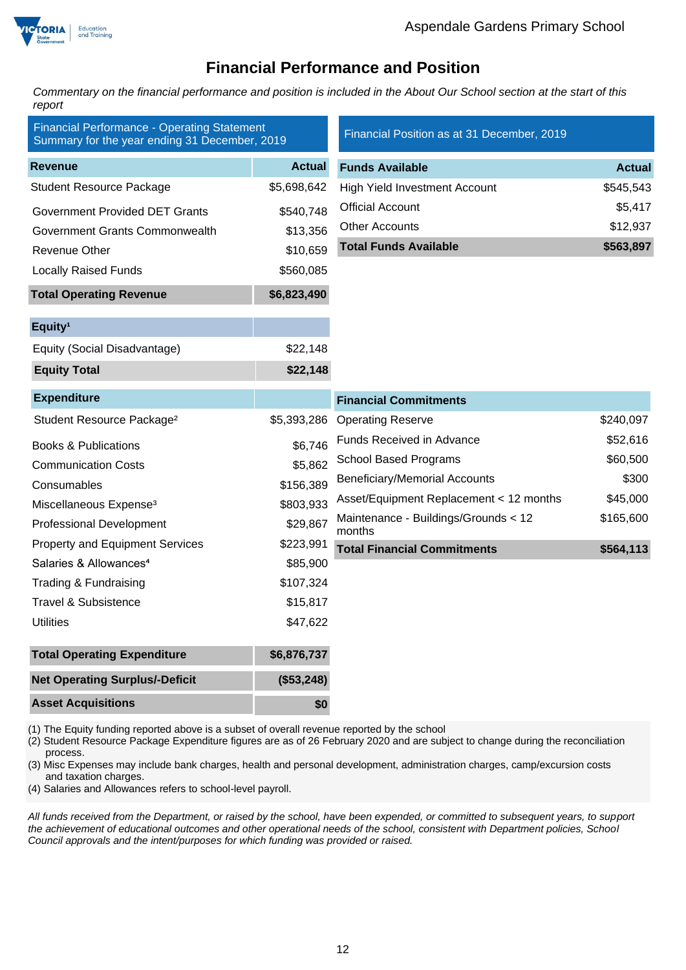

## **Financial Performance and Position**

*Commentary on the financial performance and position is included in the About Our School section at the start of this report*

| <b>Financial Performance - Operating Statement</b><br>Summary for the year ending 31 December, 2019 |               | Financial Position as at 31 December, 2019     |               |  |
|-----------------------------------------------------------------------------------------------------|---------------|------------------------------------------------|---------------|--|
| <b>Revenue</b>                                                                                      | <b>Actual</b> | <b>Funds Available</b>                         | <b>Actual</b> |  |
| <b>Student Resource Package</b>                                                                     | \$5,698,642   | <b>High Yield Investment Account</b>           | \$545,543     |  |
| <b>Government Provided DET Grants</b>                                                               | \$540,748     | <b>Official Account</b>                        | \$5,417       |  |
| Government Grants Commonwealth                                                                      | \$13,356      | <b>Other Accounts</b>                          | \$12,937      |  |
| <b>Revenue Other</b>                                                                                | \$10,659      | <b>Total Funds Available</b>                   | \$563,897     |  |
| <b>Locally Raised Funds</b>                                                                         | \$560,085     |                                                |               |  |
| <b>Total Operating Revenue</b>                                                                      | \$6,823,490   |                                                |               |  |
| Equity <sup>1</sup>                                                                                 |               |                                                |               |  |
| Equity (Social Disadvantage)                                                                        | \$22,148      |                                                |               |  |
| <b>Equity Total</b>                                                                                 | \$22,148      |                                                |               |  |
| <b>Expenditure</b>                                                                                  |               | <b>Financial Commitments</b>                   |               |  |
| Student Resource Package <sup>2</sup>                                                               | \$5,393,286   | <b>Operating Reserve</b>                       | \$240,097     |  |
| <b>Books &amp; Publications</b>                                                                     | \$6,746       | Funds Received in Advance                      | \$52,616      |  |
| <b>Communication Costs</b>                                                                          | \$5,862       | <b>School Based Programs</b>                   | \$60,500      |  |
| Consumables                                                                                         | \$156,389     | <b>Beneficiary/Memorial Accounts</b>           | \$300         |  |
| Miscellaneous Expense <sup>3</sup>                                                                  | \$803,933     | Asset/Equipment Replacement < 12 months        | \$45,000      |  |
| <b>Professional Development</b>                                                                     | \$29,867      | Maintenance - Buildings/Grounds < 12<br>months | \$165,600     |  |
| <b>Property and Equipment Services</b>                                                              | \$223,991     | <b>Total Financial Commitments</b>             | \$564,113     |  |
| Salaries & Allowances <sup>4</sup>                                                                  | \$85,900      |                                                |               |  |
| Trading & Fundraising                                                                               | \$107,324     |                                                |               |  |
| <b>Travel &amp; Subsistence</b>                                                                     | \$15,817      |                                                |               |  |
| <b>Utilities</b>                                                                                    | \$47,622      |                                                |               |  |
| <b>Total Operating Expenditure</b>                                                                  | \$6,876,737   |                                                |               |  |
| <b>Net Operating Surplus/-Deficit</b>                                                               | (\$53,248)    |                                                |               |  |
| <b>Asset Acquisitions</b>                                                                           | \$0           |                                                |               |  |

(1) The Equity funding reported above is a subset of overall revenue reported by the school

(2) Student Resource Package Expenditure figures are as of 26 February 2020 and are subject to change during the reconciliation process.

(3) Misc Expenses may include bank charges, health and personal development, administration charges, camp/excursion costs and taxation charges.

(4) Salaries and Allowances refers to school-level payroll.

*All funds received from the Department, or raised by the school, have been expended, or committed to subsequent years, to support the achievement of educational outcomes and other operational needs of the school, consistent with Department policies, School Council approvals and the intent/purposes for which funding was provided or raised.*